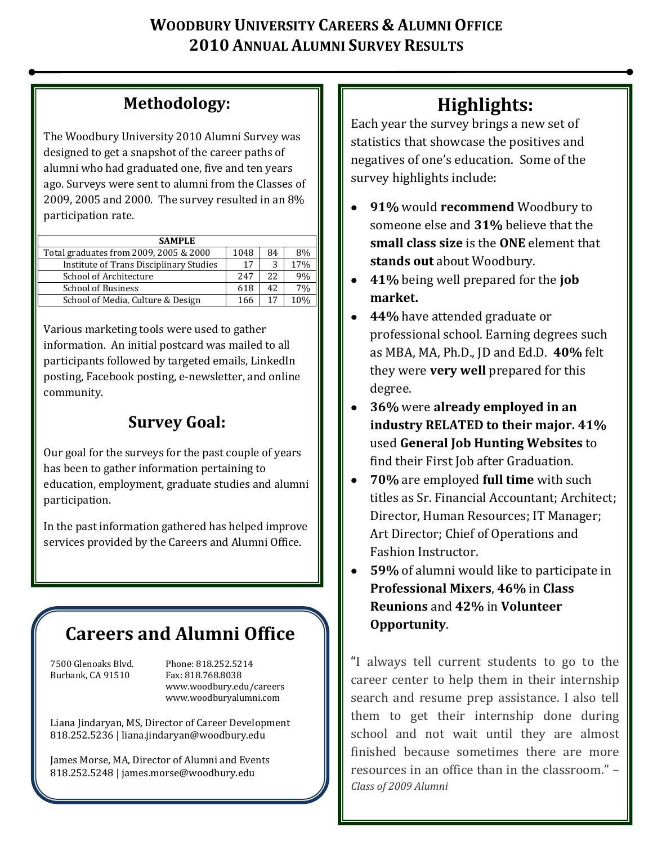# **WOODBURY UNIVERSITY CAREERS & ALUMNI OFFICE 2010 ANNUAL ALUMNI SURVEY RESULTS**

# **Methodology:**

The Woodbury University 2010 Alumni Survey was designed to get a snapshot of the career paths of alumni who had graduated one, five and ten years ago. Surveys were sent to alumni from the Classes of 2009, 2005 and 2000. The survey resulted in an 8% participation rate.

| <b>SAMPLE</b>                           |      |                  |      |
|-----------------------------------------|------|------------------|------|
| Total graduates from 2009, 2005 & 2000  | 1048 | 84               | 8%   |
| Institute of Trans Disciplinary Studies | 17   |                  | 17%  |
| School of Architecture                  | 247  | 2.2 <sub>1</sub> | 9%   |
| <b>School of Business</b>               | 618  | 42               | 7%   |
| School of Media, Culture & Design       | 166  | 17               | 1 በ% |

Various marketing tools were used to gather information. An initial postcard was mailed to all participants followed by targeted emails, LinkedIn posting, Facebook posting, e-newsletter, and online community.

# **Survey Goal:**

Our goal for the surveys for the past couple of years has been to gather information pertaining to education, employment, graduate studies and alumni participation.

In the past information gathered has helped improve services provided by the Careers and Alumni Office.

# **Careers and Alumni Office**

Burbank, CA 91510 Fax: 818.768.8038

7500 Glenoaks Blvd. Phone: 818.252.5214 www.woodbury.edu/careers www.woodburyalumni.com

Liana Jindaryan, MS, Director of Career Development 818.252.5236 | liana.jindaryan@woodbury.edu

James Morse, MA, Director of Alumni and Events 818.252.5248 | james.morse@woodbury.edu

# **Highlights:**

Each year the survey brings a new set of statistics that showcase the positives and negatives of one's education. Some of the survey highlights include:

- **91%** would **recommend** Woodbury to someone else and **31%** believe that the **small class size** is the **ONE** element that **stands out** about Woodbury.
- **41%** being well prepared for the **job market.**
- **44%** have attended graduate or professional school. Earning degrees such as MBA, MA, Ph.D., JD and Ed.D. **40%** felt they were **very well** prepared for this degree.
- **36%** were **already employed in an industry RELATED to their major. 41%** used **General Job Hunting Websites** to find their First Job after Graduation.
- **70%** are employed **full time** with such  $\bullet$ titles as Sr. Financial Accountant; Architect; Director, Human Resources; IT Manager; Art Director; Chief of Operations and Fashion Instructor.
- **59%** of alumni would like to participate in **Professional Mixers**, **46%** in **Class Reunions** and **42%** in **Volunteer Opportunity**.

"I always tell current students to go to the career center to help them in their internship search and resume prep assistance. I also tell them to get their internship done during school and not wait until they are almost finished because sometimes there are more resources in an office than in the classroom." – *Class of 2009 Alumni*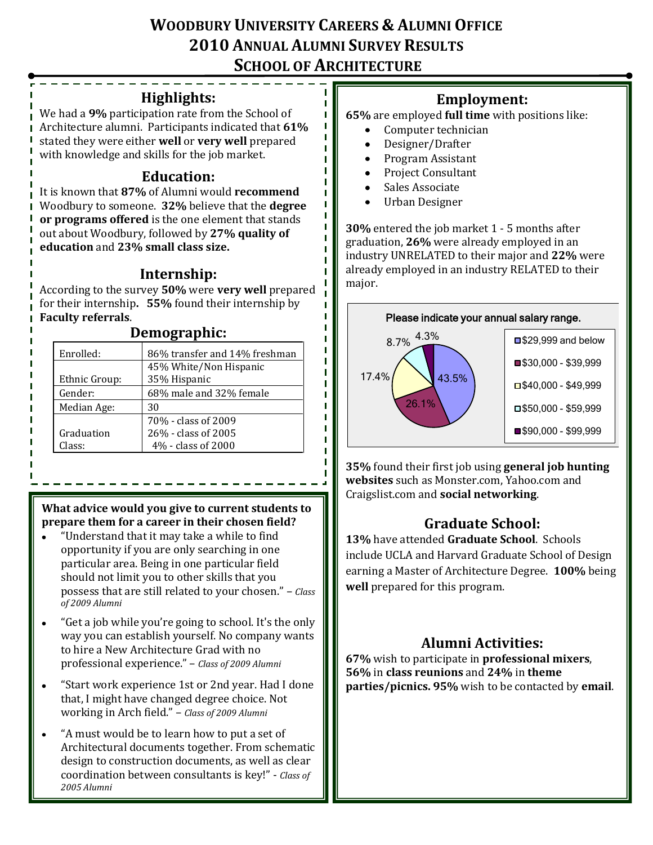# **WOODBURY UNIVERSITY CAREERS & ALUMNI OFFICE 2010 ANNUAL ALUMNI SURVEY RESULTS SCHOOL OF ARCHITECTURE**

#### **Highlights:**

We had a **9%** participation rate from the School of Architecture alumni. Participants indicated that **61%** stated they were either **well** or **very well** prepared with knowledge and skills for the job market.

#### **Education:**

It is known that **87%** of Alumni would **recommend** Woodbury to someone. **32%** believe that the **degree or programs offered** is the one element that stands out about Woodbury, followed by **27% quality of education** and **23% small class size.**

#### **Internship:**

According to the survey **50%** were **very well** prepared for their internship**. 55%** found their internship by **Faculty referrals**.

#### **Demographic:**

| 86% transfer and 14% freshman |
|-------------------------------|
| 45% White/Non Hispanic        |
| 35% Hispanic                  |
| 68% male and 32% female       |
| 30                            |
| 70% - class of 2009           |
| 26% - class of 2005           |
| 4% - class of 2000            |
|                               |

#### **What advice would you give to current students to prepare them for a career in their chosen field?**

- "Understand that it may take a while to find opportunity if you are only searching in one particular area. Being in one particular field should not limit you to other skills that you possess that are still related to your chosen." – *Class of 2009 Alumni*
- "Get a job while you're going to school. It's the only way you can establish yourself. No company wants to hire a New Architecture Grad with no professional experience." – *Class of 2009 Alumni*
- "Start work experience 1st or 2nd year. Had I done that, I might have changed degree choice. Not working in Arch field." – *Class of 2009 Alumni*
- "A must would be to learn how to put a set of Architectural documents together. From schematic design to construction documents, as well as clear coordination between consultants is key!" - *Class of 2005 Alumni*

#### **Employment:**

**65%** are employed **full time** with positions like:

- Computer technician
- $\bullet$ Designer/Drafter
- Program Assistant  $\bullet$
- Project Consultant  $\bullet$
- Sales Associate  $\bullet$
- Urban Designer

**30%** entered the job market 1 - 5 months after graduation, **26%** were already employed in an industry UNRELATED to their major and **22%** were already employed in an industry RELATED to their major.



**35%** found their first job using **general job hunting websites** such as Monster.com, Yahoo.com and Craigslist.com and **social networking**.

## **Graduate School:**

**13%** have attended **Graduate School**. Schools include UCLA and Harvard Graduate School of Design earning a Master of Architecture Degree. **100%** being **well** prepared for this program.

## **Alumni Activities:**

**67%** wish to participate in **professional mixers**, **56%** in **class reunions** and **24%** in **theme parties/picnics. 95%** wish to be contacted by **email**.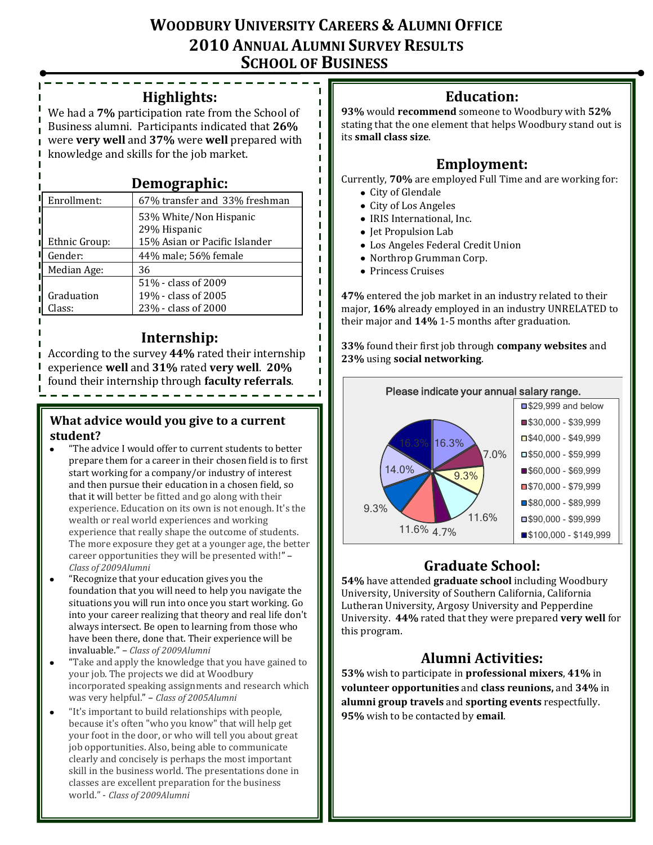## **WOODBURY UNIVERSITY CAREERS & ALUMNI OFFICE 2010 ANNUAL ALUMNI SURVEY RESULTS SCHOOL OF BUSINESS**

п п п

#### **Highlights:**

We had a **7%** participation rate from the School of Business alumni. Participants indicated that **26%** were **very well** and **37%** were **well** prepared with knowledge and skills for the job market.

#### **Demographic:**

| Enrollment:          | 67% transfer and 33% freshman                                           |
|----------------------|-------------------------------------------------------------------------|
| Ethnic Group:        | 53% White/Non Hispanic<br>29% Hispanic<br>15% Asian or Pacific Islander |
| Gender:              | 44% male; 56% female                                                    |
| Median Age:          | 36                                                                      |
| Graduation<br>Class: | 51% - class of 2009<br>19% - class of 2005<br>23% - class of 2000       |

#### **Internship:**

According to the survey **44%** rated their internship experience **well** and **31%** rated **very well**. **20%** found their internship through **faculty referrals**. \_\_\_\_\_\_\_\_\_\_\_\_\_\_\_\_\_\_\_\_\_

#### **What advice would you give to a current student?**

- "The advice I would offer to current students to better prepare them for a career in their chosen field is to first start working for a company/or industry of interest and then pursue their education in a chosen field, so that it will better be fitted and go along with their experience. Education on its own is not enough. It's the wealth or real world experiences and working experience that really shape the outcome of students. The more exposure they get at a younger age, the better career opportunities they will be presented with!" – *Class of 2009Alumni*
- "Recognize that your education gives you the foundation that you will need to help you navigate the situations you will run into once you start working. Go into your career realizing that theory and real life don't always intersect. Be open to learning from those who have been there, done that. Their experience will be invaluable." – *Class of 2009Alumni*
- "Take and apply the knowledge that you have gained to your job. The projects we did at Woodbury incorporated speaking assignments and research which was very helpful." – *Class of 2005Alumni*
- "It's important to build relationships with people, because it's often "who you know" that will help get your foot in the door, or who will tell you about great job opportunities. Also, being able to communicate clearly and concisely is perhaps the most important skill in the business world. The presentations done in classes are excellent preparation for the business world." - *Class of 2009Alumni*

## **Education:**

**93%** would **recommend** someone to Woodbury with **52%** stating that the one element that helps Woodbury stand out is its **small class size**.

#### **Employment:**

Currently, **70%** are employed Full Time and are working for:

- City of Glendale
- City of Los Angeles
- IRIS International, Inc.
- Jet Propulsion Lab
- Los Angeles Federal Credit Union
- Northrop Grumman Corp.
- Princess Cruises

**47%** entered the job market in an industry related to their major, **16%** already employed in an industry UNRELATED to their major and **14%** 1-5 months after graduation.

**33%** found their first job through **company websites** and **23%** using **social networking**.



## **Graduate School:**

**54%** have attended **graduate school** including Woodbury University, University of Southern California, California Lutheran University, Argosy University and Pepperdine University. **44%** rated that they were prepared **very well** for this program.

## **Alumni Activities:**

**53%** wish to participate in **professional mixers**, **41%** in **volunteer opportunities** and **class reunions,** and **34%** in **alumni group travels** and **sporting events** respectfully. **95%** wish to be contacted by **email**.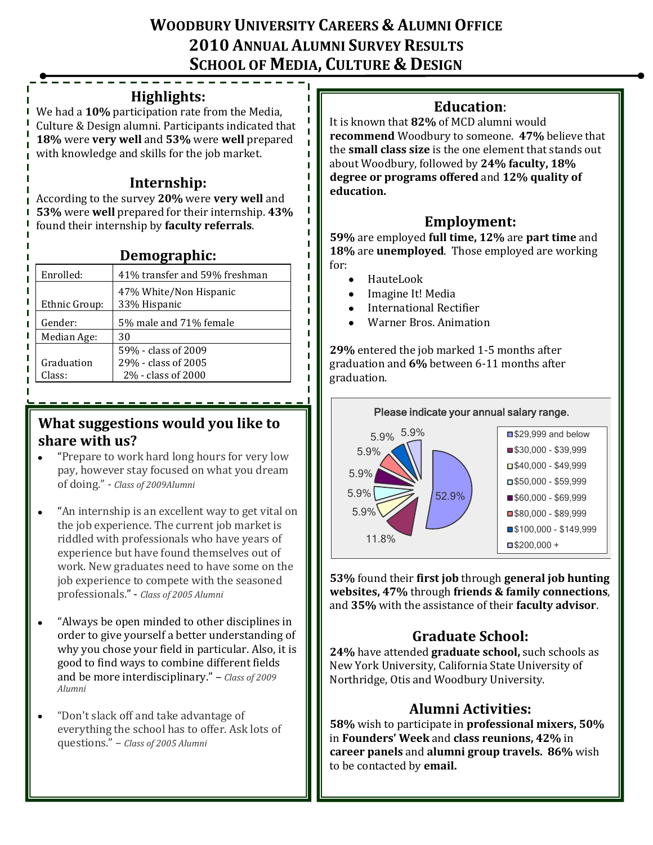# **WOODBURY UNIVERSITY CAREERS & ALUMNI OFFICE 2010 ANNUAL ALUMNI SURVEY RESULTS SCHOOL OF MEDIA, CULTURE & DESIGN**

п

#### **Highlights:**

We had a **10%** participation rate from the Media, Culture & Design alumni. Participants indicated that **18%** were **very well** and **53%** were **well** prepared with knowledge and skills for the job market.

### **Internship:**

According to the survey **20%** were **very well** and **53%** were **well** prepared for their internship. **43%** found their internship by **faculty referrals**.

#### **Demographic:**

| Enrolled:     | 41% transfer and 59% freshman          |
|---------------|----------------------------------------|
| Ethnic Group: | 47% White/Non Hispanic<br>33% Hispanic |
| Gender:       | 5% male and 71% female                 |
| Median Age:   | 30                                     |
|               | 59% - class of 2009                    |
| Graduation    | 29% - class of 2005                    |
| Class:        | 2% - class of 2000                     |

#### **What suggestions would you like to share with us?**

- "Prepare to work hard long hours for very low  $\bullet$ pay, however stay focused on what you dream of doing." - *Class of 2009Alumni*
- "An internship is an excellent way to get vital on  $\bullet$ the job experience. The current job market is riddled with professionals who have years of experience but have found themselves out of work. New graduates need to have some on the job experience to compete with the seasoned professionals." - *Class of 2005 Alumni*
- "Always be open minded to other disciplines in order to give yourself a better understanding of why you chose your field in particular. Also, it is good to find ways to combine different fields and be more interdisciplinary." – *Class of 2009 Alumni*
- "Don't slack off and take advantage of  $\bullet$ everything the school has to offer. Ask lots of questions." – *Class of 2005 Alumni*

#### **Education**:

It is known that **82%** of MCD alumni would **recommend** Woodbury to someone. **47%** believe that the **small class size** is the one element that stands out about Woodbury, followed by **24% faculty, 18% degree or programs offered** and **12% quality of education.** 

#### **Employment:**

**59%** are employed **full time, 12%** are **part time** and **18%** are **unemployed**. Those employed are working for:

- HauteLook  $\bullet$
- Imagine It! Media
- International Rectifier
- Warner Bros. Animation

**29%** entered the job marked 1-5 months after graduation and **6%** between 6-11 months after graduation.



**53%** found their **first job** through **general job hunting websites, 47%** through **friends & family connections**, and **35%** with the assistance of their **faculty advisor**.

## **Graduate School:**

**24%** have attended **graduate school,** such schools as New York University, California State University of Northridge, Otis and Woodbury University.

## **Alumni Activities:**

**58%** wish to participate in **professional mixers, 50%**  in **Founders' Week** and **class reunions, 42%** in **career panels** and **alumni group travels. 86%** wish to be contacted by **email.**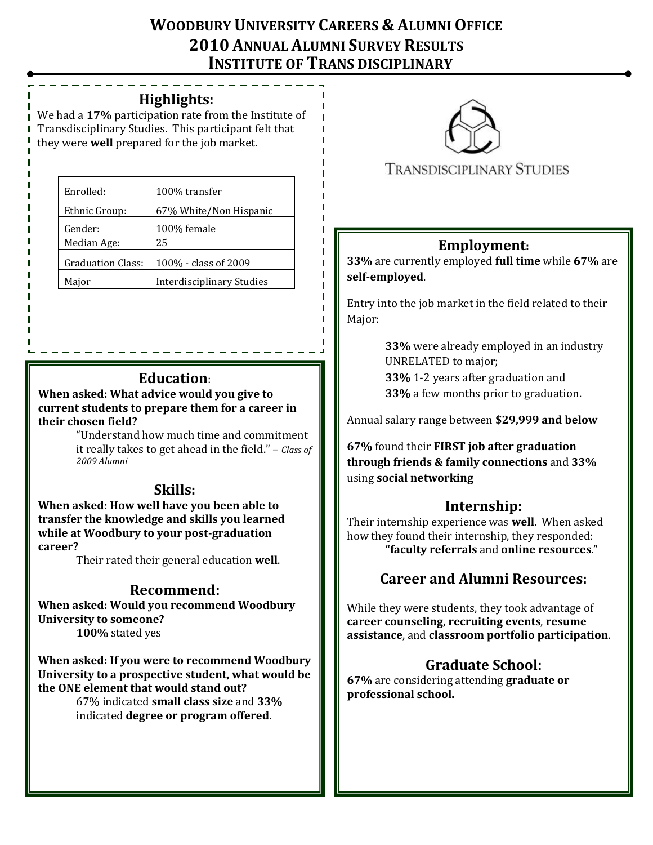# **WOODBURY UNIVERSITY CAREERS & ALUMNI OFFICE 2010 ANNUAL ALUMNI SURVEY RESULTS INSTITUTE OF TRANS DISCIPLINARY**

#### **Highlights: STUDIES**

We had a **17%** participation rate from the Institute of Transdisciplinary Studies. This participant felt that they were **well** prepared for the job market.

| Enrolled:                | 100% transfer                    |
|--------------------------|----------------------------------|
| Ethnic Group:            | 67% White/Non Hispanic           |
| Gender:                  | 100% female                      |
| Median Age:              | 25                               |
| <b>Graduation Class:</b> | 100% - class of 2009             |
| Major                    | <b>Interdisciplinary Studies</b> |

## **Education**:

**When asked: What advice would you give to current students to prepare them for a career in their chosen field?**

"Understand how much time and commitment it really takes to get ahead in the field." – *Class of 2009 Alumni*

#### **Skills:**

**When asked: How well have you been able to transfer the knowledge and skills you learned while at Woodbury to your post-graduation career?**

Their rated their general education **well**.

## **Recommend:**

**When asked: Would you recommend Woodbury University to someone?**

**100%** stated yes

**When asked: If you were to recommend Woodbury University to a prospective student, what would be the ONE element that would stand out?**

67% indicated **small class size** and **33%** indicated **degree or program offered**.



#### **TRANSDISCIPLINARY STUDIES**

## **Employment:**

**33%** are currently employed **full time** while **67%** are **self-employed**.

Entry into the job market in the field related to their Major:

> **33%** were already employed in an industry UNRELATED to major; **33%** 1-2 years after graduation and

**33%** a few months prior to graduation.

Annual salary range between **\$29,999 and below**

**67%** found their **FIRST job after graduation through friends & family connections** and **33%**  using **social networking**

#### **Internship:**

Their internship experience was **well**. When asked how they found their internship, they responded: **"faculty referrals** and **online resources**."

## **Career and Alumni Resources:**

While they were students, they took advantage of **career counseling, recruiting events**, **resume assistance**, and **classroom portfolio participation**.

## **Graduate School:**

**67%** are considering attending **graduate or professional school.**